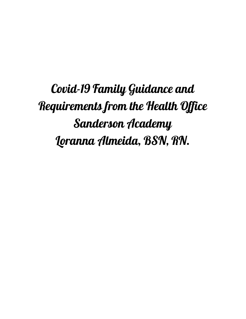Covid-19 Family Guidance and Requirements from the Health Office Sanderson Academy Loranna Almeida, BSN, RN.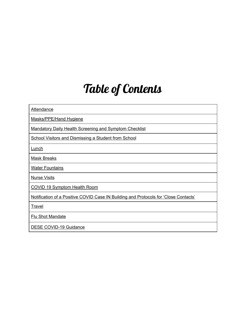# Table of Contents

| <b>Attendance</b>                                                                    |  |  |  |  |  |
|--------------------------------------------------------------------------------------|--|--|--|--|--|
| Masks/PPE/Hand Hygiene                                                               |  |  |  |  |  |
| <b>Mandatory Daily Health Screening and Symptom Checklist</b>                        |  |  |  |  |  |
| <b>School Visitors and Dismissing a Student from School</b>                          |  |  |  |  |  |
| Lunch                                                                                |  |  |  |  |  |
| <b>Mask Breaks</b>                                                                   |  |  |  |  |  |
| <b>Water Fountains</b>                                                               |  |  |  |  |  |
| <b>Nurse Visits</b>                                                                  |  |  |  |  |  |
| <b>COVID 19 Symptom Health Room</b>                                                  |  |  |  |  |  |
| Notification of a Positive COVID Case IN Building and Protocols for 'Close Contacts' |  |  |  |  |  |
| <b>Travel</b>                                                                        |  |  |  |  |  |
| <b>Flu Shot Mandate</b>                                                              |  |  |  |  |  |
| <b>DESE COVID-19 Guidance</b>                                                        |  |  |  |  |  |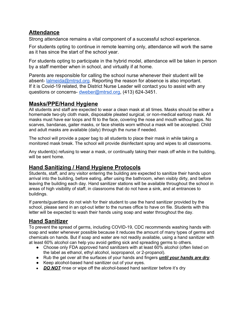# **Attendance**

Strong attendance remains a vital component of a successful school experience.

For students opting to continue in remote learning only, attendance will work the same as it has since the start of the school year.

For students opting to participate in the hybrid model, attendance will be taken in person by a staff member when in school, and virtually if at home.

Parents are responsible for calling the school nurse whenever their student will be absent- [lalmeida@mtrsd.org.](mailto:lalmeida@mtrsd.org) Reporting the reason for absence is also important. If it is Covid-19 related, the District Nurse Leader will contact you to assist with any questions or concerns- [dweber@mtrsd.org,](mailto:dweber@mtrsd.org) (413) 624-3451.

# **Masks/PPE/Hand Hygiene**

All students and staff are expected to wear a clean mask at all times. Masks should be either a homemade two-ply cloth mask, disposable pleated surgical, or non-medical earloop mask. All masks must have ear loops and fit to the face, covering the nose and mouth without gaps. No scarves, bandanas, gaiter masks, or face shields worn without a mask will be accepted. Child and adult masks are available (daily) through the nurse if needed.

The school will provide a paper bag to all students to place their mask in while taking a monitored mask break. The school will provide disinfectant spray and wipes to all classrooms.

Any student(s) refusing to wear a mask, or continually taking their mask off while in the building, will be sent home.

# **Hand Sanitizing / Hand Hygiene Protocols**

Students, staff, and any visitor entering the building are expected to sanitize their hands upon arrival into the building, before eating, after using the bathroom, when visibly dirty, and before leaving the building each day. Hand sanitizer stations will be available throughout the school in areas of high visibility of staff, in classrooms that do not have a sink, and at entrances to buildings.

If parents/guardians do not wish for their student to use the hand sanitizer provided by the school, please send in an opt-out letter to the nurses office to have on file. Students with this letter will be expected to wash their hands using soap and water throughout the day.

# **Hand Sanitizer**

To prevent the spread of germs, including COVID-19, CDC recommends washing hands with soap and water whenever possible because it reduces the amount of many types of germs and chemicals on hands. But if soap and water are not readily available, using a hand sanitizer with at least 60% alcohol can help you avoid getting sick and spreading germs to others.

- Choose only FDA approved hand sanitizers with at least 60% alcohol (often listed on the label as ethanol, ethyl alcohol, isopropanol, or 2-propanol).
- Rub the gel over all the surfaces of your hands and fingers *until your hands are dry*.
- Keep alcohol-based hand sanitizer out of your eyes.
- *DO NOT* rinse or wipe off the alcohol-based hand sanitizer before it's dry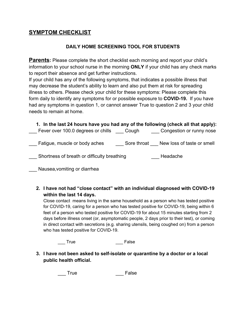# **SYMPTOM CHECKLIST**

#### **DAILY HOME SCREENING TOOL FOR STUDENTS**

**Parents:** Please complete the short checklist each morning and report your child's information to your school nurse in the morning **ONLY** if your child has any check marks to report their absence and get further instructions.

If your child has any of the following symptoms, that indicates a possible illness that may decrease the student's ability to learn and also put them at risk for spreading illness to others. Please check your child for these symptoms: Please complete this form daily to identify any symptoms for or possible exposure to **COVID-19.** If you have had any symptoms in question 1, or cannot answer True to question 2 and 3 your child needs to remain at home.

| 1. In the last 24 hours have you had any of the following (check all that apply):<br>Fever over 100.0 degrees or chills Cough |  | Congestion or runny nose               |
|-------------------------------------------------------------------------------------------------------------------------------|--|----------------------------------------|
| Fatigue, muscle or body aches                                                                                                 |  | Sore throat New loss of taste or smell |
| Shortness of breath or difficulty breathing                                                                                   |  | Headache                               |
| Nausea, vomiting or diarrhea                                                                                                  |  |                                        |

**2. I have not had "close contact" with an individual diagnosed with COVID-19 within the last 14 days.**

Close contact means living in the same household as a person who has tested positive for COVID-19, caring for a person who has tested positive for COVID-19, being within 6 feet of a person who tested positive for COVID-19 for about 15 minutes starting from 2 days before illness onset (or, asymptomatic people, 2 days prior to their test), or coming in direct contact with secretions (e.g. sharing utensils, being coughed on) from a person who has tested positive for COVID-19.

True **False** 

**3. I have not been asked to self-isolate or quarantine by a doctor or a local public health official.**

\_\_\_ True **False**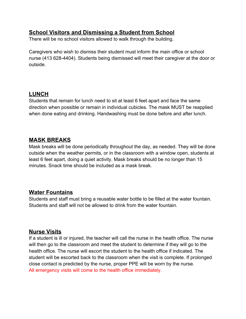# **School Visitors and Dismissing a Student from School**

There will be no school visitors allowed to walk through the building.

Caregivers who wish to dismiss their student must inform the main office or school nurse (413 628-4404). Students being dismissed will meet their caregiver at the door or outside.

#### **LUNCH**

Students that remain for lunch need to sit at least 6 feet apart and face the same direction when possible or remain in individual cubicles. The mask MUST be reapplied when done eating and drinking. Handwashing must be done before and after lunch.

# **MASK BREAKS**

Mask breaks will be done periodically throughout the day, as needed. They will be done outside when the weather permits, or in the classroom with a window open, students at least 6 feet apart, doing a quiet activity. Mask breaks should be no longer than 15 minutes. Snack time should be included as a mask break.

## **Water Fountains**

Students and staff must bring a reusable water bottle to be filled at the water fountain. Students and staff will not be allowed to drink from the water fountain.

## **Nurse Visits**

If a student is ill or injured, the teacher will call the nurse in the health office. The nurse will then go to the classroom and meet the student to determine if they will go to the health office. The nurse will escort the student to the health office if indicated. The student will be escorted back to the classroom when the visit is complete. If prolonged close contact is predicted by the nurse, proper PPE will be worn by the nurse. All emergency visits will come to the health office immediately.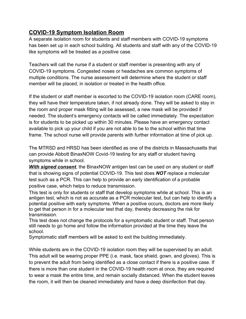# **COVID-19 Symptom Isolation Room**

A separate isolation room for students and staff members with COVID-19 symptoms has been set up in each school building. All students and staff with any of the COVID-19 like symptoms will be treated as a positive case.

Teachers will call the nurse if a student or staff member is presenting with any of COVID-19 symptoms. Congested noses or headaches are common symptoms of multiple conditions. The nurse assessment will determine where the student or staff member will be placed, in isolation or treated in the health office.

If the student or staff member is escorted to the COVID-19 isolation room (CARE room), they will have their temperature taken, if not already done. They will be asked to stay in the room and proper mask fitting will be assessed, a new mask will be provided if needed. The student's emergency contacts will be called immediately. The expectation is for students to be picked up within 30 minutes. Please have an emergency contact available to pick up your child if you are not able to be to the school within that time frame. The school nurse will provide parents with further information at time of pick up.

The MTRSD and HRSD has been identified as one of the districts in Massachusetts that can provide Abbott BinaxNOW Covid-19 testing for any staff or student having symptoms while in school.

*With signed consent*, the BinaxNOW antigen test can be used on any student or staff that is showing signs of potential COVID-19. This test does *NOT* replace a molecular test such as a PCR. This can help to provide an early identification of a probable positive case, which helps to reduce transmission.

This test is only for students or staff that develop symptoms while at school. This is an antigen test, which is not as accurate as a PCR molecular test, but can help to identify a potential positive with early symptoms. When a positive occurs, doctors are more likely to get that person in for a molecular test that day, thereby decreasing the risk for transmission.

This test does not change the protocols for a symptomatic student or staff. That person still needs to go home and follow the information provided at the time they leave the school.

Symptomatic staff members will be asked to exit the building immediately.

While students are in the COVID-19 isolation room they will be supervised by an adult. This adult will be wearing proper PPE (i.e. mask, face shield, gown, and gloves). This is to prevent the adult from being identified as a close contact if there is a positive case. If there is more than one student in the COVID-19 health room at once, they are required to wear a mask the entire time, and remain socially distanced. When the student leaves the room, it will then be cleaned immediately and have a deep disinfection that day.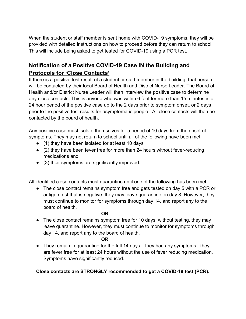When the student or staff member is sent home with COVID-19 symptoms, they will be provided with detailed instructions on how to proceed before they can return to school. This will include being asked to get tested for COVID-19 using a PCR test.

# **Notification of a Positive COVID-19 Case IN the Building and Protocols for 'Close Contacts'**

If there is a positive test result of a student or staff member in the building, that person will be contacted by their local Board of Health and District Nurse Leader. The Board of Health and/or District Nurse Leader will then interview the positive case to determine any close contacts. This is anyone who was within 6 feet for more than 15 minutes in a 24 hour period of the positive case up to the 2 days prior to symptom onset, or 2 days prior to the positive test results for asymptomatic people . All close contacts will then be contacted by the board of health.

Any positive case must isolate themselves for a period of 10 days from the onset of symptoms. They may not return to school until all of the following have been met.

- (1) they have been isolated for at least 10 days
- $\bullet$  (2) they have been fever free for more than 24 hours without fever-reducing medications and
- (3) their symptoms are significantly improved.

All identified close contacts must quarantine until one of the following has been met.

• The close contact remains symptom free and gets tested on day 5 with a PCR or antigen test that is negative, they may leave quarantine on day 8. However, they must continue to monitor for symptoms through day 14, and report any to the board of health.

#### **OR**

• The close contact remains symptom free for 10 days, without testing, they may leave quarantine. However, they must continue to monitor for symptoms through day 14, and report any to the board of health.

#### **OR**

• They remain in quarantine for the full 14 days if they had any symptoms. They are fever free for at least 24 hours without the use of fever reducing medication. Symptoms have significantly reduced.

**Close contacts are STRONGLY recommended to get a COVID-19 test (PCR).**